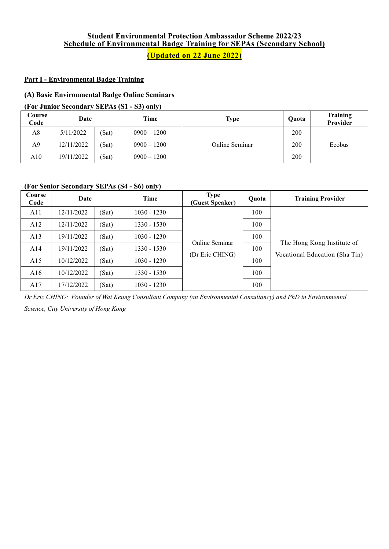# **Student Environmental Protection Ambassador Scheme 2022/23 Schedule of Environmental Badge Training for SEPAs (Secondary School) (Updated on 22 June 2022)**

# **Part I - Environmental Badge Training**

# **(A) Basic Environmental Badge Online Seminars**

#### **(For Junior Secondary SEPAs (S1 - S3) only)**

| Course<br>Code | Date       |       | Time          | <b>Type</b>    | Quota | <b>Training</b><br><b>Provider</b> |
|----------------|------------|-------|---------------|----------------|-------|------------------------------------|
| A8             | 5/11/2022  | (Sat) | $0900 - 1200$ |                | 200   |                                    |
| A9             | 12/11/2022 | (Sat) | $0900 - 1200$ | Online Seminar | 200   | Ecobus                             |
| A10            | 19/11/2022 | (Sat) | $0900 - 1200$ |                | 200   |                                    |

#### **(For Senior Secondary SEPAs (S4 - S6) only)**

| Course<br>Code | Date       |       | Time          | <b>Type</b><br>(Guest Speaker) | Ouota | <b>Training Provider</b>       |
|----------------|------------|-------|---------------|--------------------------------|-------|--------------------------------|
| A11            | 12/11/2022 | (Sat) | $1030 - 1230$ |                                | 100   |                                |
| A12            | 12/11/2022 | (Sat) | $1330 - 1530$ |                                | 100   |                                |
| A13            | 19/11/2022 | (Sat) | $1030 - 1230$ | Online Seminar                 | 100   |                                |
| A14            | 19/11/2022 | (Sat) | $1330 - 1530$ |                                | 100   | The Hong Kong Institute of     |
| A15            | 10/12/2022 | (Sat) | $1030 - 1230$ | (Dr Eric CHING)                | 100   | Vocational Education (Sha Tin) |
| A16            | 10/12/2022 | (Sat) | 1330 - 1530   |                                | 100   |                                |
| A17            | 17/12/2022 | (Sat) | 1030 - 1230   |                                | 100   |                                |

*Dr Eric CHING: Founder of Wai Keung Consultant Company (an Environmental Consultancy) and PhD in Environmental* 

*Science, City University of Hong Kong*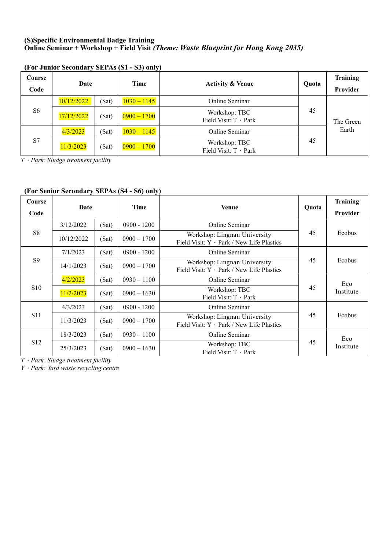# **(S)Specific Environmental Badge Training Online Seminar + Workshop + Field Visit** *(Theme: Waste Blueprint for Hong Kong 2035)*

| Course<br>Code | Date       |       | Time          | <b>Activity &amp; Venue</b>            | Ouota | <b>Training</b><br>Provider |
|----------------|------------|-------|---------------|----------------------------------------|-------|-----------------------------|
|                | 10/12/2022 | (Sat) | $1030 - 1145$ | Online Seminar                         | 45    | The Green                   |
| S <sub>6</sub> | 17/12/2022 | (Sat) | $0900 - 1700$ | Workshop: TBC<br>Field Visit: T · Park |       |                             |
|                | 4/3/2023   | (Sat) | $1030 - 1145$ | Online Seminar                         |       | Earth                       |
| S7             | 11/3/2023  | (Sat) | $0900 - 1700$ | Workshop: TBC<br>Field Visit: T · Park | 45    |                             |

### **(For Junior Secondary SEPAs (S1 - S3) only)**

*T*.*Park: Sludge treatment facility*

# **(For Senior Secondary SEPAs (S4 - S6) only)**

| Course<br>Code  | Date       |       | Time          | <b>Venue</b>                                                                    | Ouota | <b>Training</b><br>Provider |
|-----------------|------------|-------|---------------|---------------------------------------------------------------------------------|-------|-----------------------------|
|                 | 3/12/2022  | (Sat) | $0900 - 1200$ | Online Seminar                                                                  |       |                             |
| S <sub>8</sub>  | 10/12/2022 | (Sat) | $0900 - 1700$ | Workshop: Lingnan University<br>Field Visit: $Y \cdot Park / New Life Plastics$ | 45    | Ecobus                      |
|                 | 7/1/2023   | (Sat) | $0900 - 1200$ | Online Seminar                                                                  |       | Ecobus                      |
| S <sub>9</sub>  | 14/1/2023  | (Sat) | $0900 - 1700$ | Workshop: Lingnan University<br>Field Visit: $Y \cdot Park / New Life Plastics$ | 45    |                             |
|                 | 4/2/2023   | (Sat) | $0930 - 1100$ | <b>Online Seminar</b>                                                           |       | Eco<br>Institute            |
| S10             | 11/2/2023  | (Sat) | $0900 - 1630$ | Workshop: TBC<br>Field Visit: $T \cdot$ Park                                    | 45    |                             |
|                 | 4/3/2023   | (Sat) | $0900 - 1200$ | Online Seminar                                                                  |       |                             |
| <b>S11</b>      | 11/3/2023  | (Sat) | $0900 - 1700$ | Workshop: Lingnan University<br>Field Visit: $Y \cdot Park / New Life Plastics$ | 45    | Ecobus                      |
|                 | 18/3/2023  | (Sat) | $0930 - 1100$ | Online Seminar                                                                  |       | Eco<br>Institute            |
| S <sub>12</sub> | 25/3/2023  | (Sat) | $0900 - 1630$ | Workshop: TBC<br>Field Visit: $T \cdot$ Park                                    | 45    |                             |

*T*.*Park: Sludge treatment facility*

*Y*.*Park: Yard waste recycling centre*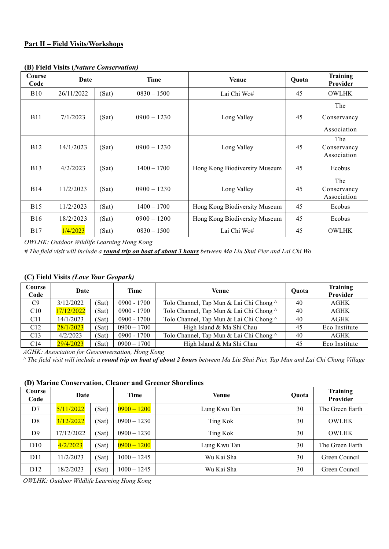### **Part II – Field Visits/Workshops**

| Course<br>Code | Date       |       | Time          | <b>Venue</b>                  | Quota | <b>Training</b><br><b>Provider</b> |
|----------------|------------|-------|---------------|-------------------------------|-------|------------------------------------|
| <b>B</b> 10    | 26/11/2022 | (Sat) | $0830 - 1500$ | Lai Chi Wo#                   | 45    | <b>OWLHK</b>                       |
| <b>B11</b>     | 7/1/2023   | (Sat) | $0900 - 1230$ | Long Valley                   | 45    | The<br>Conservancy                 |
|                |            |       |               |                               |       | Association                        |
| <b>B</b> 12    | 14/1/2023  | (Sat) | $0900 - 1230$ | Long Valley                   | 45    | The<br>Conservancy<br>Association  |
| <b>B</b> 13    | 4/2/2023   | (Sat) | $1400 - 1700$ | Hong Kong Biodiversity Museum | 45    | Ecobus                             |
| <b>B</b> 14    | 11/2/2023  | (Sat) | $0900 - 1230$ | Long Valley                   | 45    | The<br>Conservancy<br>Association  |
| <b>B</b> 15    | 11/2/2023  | (Sat) | $1400 - 1700$ | Hong Kong Biodiversity Museum | 45    | Ecobus                             |
| <b>B</b> 16    | 18/2/2023  | (Sat) | $0900 - 1200$ | Hong Kong Biodiversity Museum | 45    | Ecobus                             |
| <b>B17</b>     | 1/4/2023   | (Sat) | $0830 - 1500$ | Lai Chi Wo#                   | 45    | <b>OWLHK</b>                       |

#### **(B) Field Visits (***Nature Conservation)*

*OWLHK: Outdoor Wildlife Learning Hong Kong*

*# The field visit will include a round trip on boat of about 3 hours between Ma Liu Shui Pier and Lai Chi Wo*

# **(C) Field Visits** *(Love Your Geopark)*

| Course<br>Code  | Date               |       | Time          | Venue                                   |    | <b>Training</b><br>Provider |
|-----------------|--------------------|-------|---------------|-----------------------------------------|----|-----------------------------|
| C9              | 3/12/2022          | (Sat) | $0900 - 1700$ | Tolo Channel, Tap Mun & Lai Chi Chong ^ | 40 | <b>AGHK</b>                 |
| C10             | 17/12/2022         | (Sat) | $0900 - 1700$ | Tolo Channel, Tap Mun & Lai Chi Chong ^ | 40 | <b>AGHK</b>                 |
| C <sub>11</sub> | 14/1/2023<br>(Sat) |       | $0900 - 1700$ | Tolo Channel, Tap Mun & Lai Chi Chong ^ | 40 | <b>AGHK</b>                 |
| C12             | 28/1/2023          | (Sat) | $0900 - 1700$ | High Island & Ma Shi Chau               | 45 | Eco Institute               |
| C13             | 4/2/2023           | (Sat) | $0900 - 1700$ | Tolo Channel, Tap Mun & Lai Chi Chong ^ | 40 | AGHK                        |
| C <sub>14</sub> | 29/4/2023          | (Sat) | $0900 - 1700$ | High Island & Ma Shi Chau               | 45 | Eco Institute               |

*AGHK: Association for Geoconversation, Hong Kong*

*^ The field visit will include a round trip on boat of about 2 hours between Ma Liu Shui Pier, Tap Mun and Lai Chi Chong Village*

#### **(D) Marine Conservation, Cleaner and Greener Shorelines**

| Course<br>Code  | Date       |       | Time          | <b>Venue</b> | Quota | Training<br>Provider |
|-----------------|------------|-------|---------------|--------------|-------|----------------------|
| D7              | 5/11/2022  | (Sat) | $0900 - 1200$ | Lung Kwu Tan | 30    | The Green Earth      |
| D <sub>8</sub>  | 3/12/2022  | (Sat) | $0900 - 1230$ | Ting Kok     | 30    | <b>OWLHK</b>         |
| D <sup>9</sup>  | 17/12/2022 | (Sat) | $0900 - 1230$ | Ting Kok     | 30    | <b>OWLHK</b>         |
| D10             | 4/2/2023   | (Sat) | $0900 - 1200$ | Lung Kwu Tan | 30    | The Green Earth      |
| D11             | 11/2/2023  | (Sat) | $1000 - 1245$ | Wu Kai Sha   | 30    | Green Council        |
| D <sub>12</sub> | 18/2/2023  | (Sat) | $1000 - 1245$ | Wu Kai Sha   | 30    | Green Council        |

*OWLHK: Outdoor Wildlife Learning Hong Kong*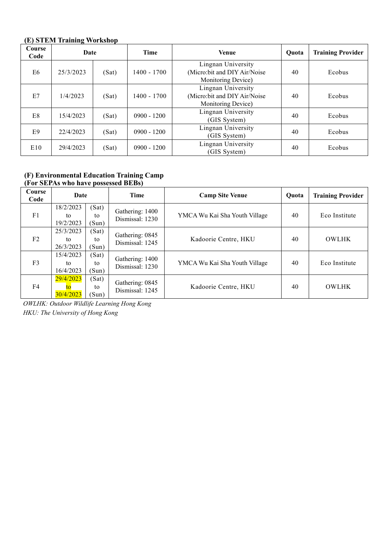# **(E) STEM Training Workshop**

| Course<br>Code | Date      |       | <b>Time</b>   | <b>Venue</b>                                                             | Ouota | <b>Training Provider</b> |
|----------------|-----------|-------|---------------|--------------------------------------------------------------------------|-------|--------------------------|
| E <sub>6</sub> | 25/3/2023 | (Sat) | 1400 - 1700   | Lingnan University<br>(Micro:bit and DIY Air/Noise<br>Monitoring Device) | 40    | Ecobus                   |
| E7             | 1/4/2023  | (Sat) | 1400 - 1700   | Lingnan University<br>(Micro:bit and DIY Air/Noise<br>Monitoring Device) | 40    | Ecobus                   |
| E8             | 15/4/2023 | (Sat) | $0900 - 1200$ | Lingnan University<br>(GIS System)                                       | 40    | Ecobus                   |
| E <sub>9</sub> | 22/4/2023 | (Sat) | $0900 - 1200$ | Lingnan University<br>(GIS System)                                       | 40    | Ecobus                   |
| E10            | 29/4/2023 | (Sat) | $0900 - 1200$ | Lingnan University<br>(GIS System)                                       | 40    | Ecobus                   |

### **(F) Environmental Education Training Camp (For SEPAs who have possessed BEBs)**

| Course<br>Code | Date                         |                      | <b>Time</b>                        | <b>Camp Site Venue</b>        | Ouota | <b>Training Provider</b> |
|----------------|------------------------------|----------------------|------------------------------------|-------------------------------|-------|--------------------------|
| F <sub>1</sub> | 18/2/2023<br>to<br>19/2/2023 | (Sat)<br>to<br>(Sun) | Gathering: 1400<br>Dismissal: 1230 | YMCA Wu Kai Sha Youth Village | 40    | Eco Institute            |
| F <sub>2</sub> | 25/3/2023<br>to<br>26/3/2023 | (Sat)<br>to<br>(Sun) | Gathering: 0845<br>Dismissal: 1245 | Kadoorie Centre, HKU          | 40    | <b>OWLHK</b>             |
| F <sub>3</sub> | 15/4/2023<br>to<br>16/4/2023 | (Sat)<br>to<br>(Sun) | Gathering: 1400<br>Dismissal: 1230 | YMCA Wu Kai Sha Youth Village | 40    | Eco Institute            |
| F4             | 29/4/2023<br>30/4/2023       | (Sat)<br>to<br>(Sun) | Gathering: 0845<br>Dismissal: 1245 | Kadoorie Centre, HKU          | 40    | <b>OWLHK</b>             |

*OWLHK: Outdoor Wildlife Learning Hong Kong HKU: The University of Hong Kong*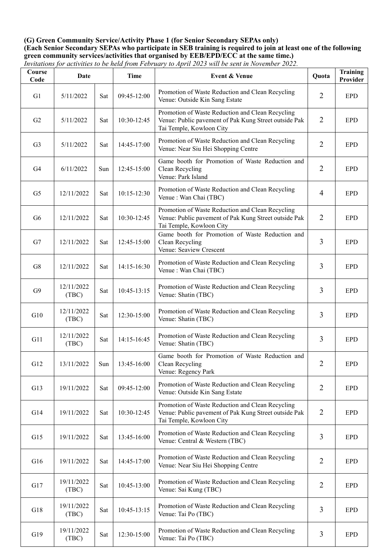#### **(G) Green Community Service/Activity Phase 1 (for Senior Secondary SEPAs only) (Each Senior Secondary SEPAs who participate in SEB training is required to join at least one of the following green community services/activities that organised by EEB/EPD/ECC at the same time.)** *Invitations for activities to be held from February to April 2023 will be sent in November 2022.*

| Course<br>Code | Date                |     | <b>Time</b> | <b>Event &amp; Venue</b>                                                                                                              | Quota          | <b>Training</b><br>Provider |
|----------------|---------------------|-----|-------------|---------------------------------------------------------------------------------------------------------------------------------------|----------------|-----------------------------|
| G1             | 5/11/2022           | Sat | 09:45-12:00 | Promotion of Waste Reduction and Clean Recycling<br>Venue: Outside Kin Sang Estate                                                    | $\overline{2}$ | <b>EPD</b>                  |
| G2             | 5/11/2022           | Sat | 10:30-12:45 | Promotion of Waste Reduction and Clean Recycling<br>Venue: Public pavement of Pak Kung Street outside Pak<br>Tai Temple, Kowloon City | $\overline{2}$ | <b>EPD</b>                  |
| G <sub>3</sub> | 5/11/2022           | Sat | 14:45-17:00 | Promotion of Waste Reduction and Clean Recycling<br>Venue: Near Siu Hei Shopping Centre                                               | $\overline{2}$ | <b>EPD</b>                  |
| G4             | 6/11/2022           | Sun | 12:45-15:00 | Game booth for Promotion of Waste Reduction and<br>Clean Recycling<br>Venue: Park Island                                              | $\overline{2}$ | <b>EPD</b>                  |
| G <sub>5</sub> | 12/11/2022          | Sat | 10:15-12:30 | Promotion of Waste Reduction and Clean Recycling<br>Venue : Wan Chai (TBC)                                                            | $\overline{4}$ | <b>EPD</b>                  |
| G <sub>6</sub> | 12/11/2022          | Sat | 10:30-12:45 | Promotion of Waste Reduction and Clean Recycling<br>Venue: Public pavement of Pak Kung Street outside Pak<br>Tai Temple, Kowloon City | $\overline{2}$ | <b>EPD</b>                  |
| G7             | 12/11/2022          | Sat | 12:45-15:00 | Game booth for Promotion of Waste Reduction and<br>Clean Recycling<br>Venue: Seaview Crescent                                         | $\overline{3}$ | <b>EPD</b>                  |
| G8             | 12/11/2022          | Sat | 14:15-16:30 | Promotion of Waste Reduction and Clean Recycling<br>Venue : Wan Chai (TBC)                                                            | $\overline{3}$ | <b>EPD</b>                  |
| G9             | 12/11/2022<br>(TBC) | Sat | 10:45-13:15 | Promotion of Waste Reduction and Clean Recycling<br>Venue: Shatin (TBC)                                                               | 3              | <b>EPD</b>                  |
| G10            | 12/11/2022<br>(TBC) | Sat | 12:30-15:00 | Promotion of Waste Reduction and Clean Recycling<br>Venue: Shatin (TBC)                                                               | $\overline{3}$ | <b>EPD</b>                  |
| G11            | 12/11/2022<br>(TBC) | Sat | 14:15-16:45 | Promotion of Waste Reduction and Clean Recycling<br>Venue: Shatin (TBC)                                                               | 3              | <b>EPD</b>                  |
| G12            | 13/11/2022          | Sun | 13:45-16:00 | Game booth for Promotion of Waste Reduction and<br>Clean Recycling<br>Venue: Regency Park                                             | $\overline{2}$ | <b>EPD</b>                  |
| G13            | 19/11/2022          | Sat | 09:45-12:00 | Promotion of Waste Reduction and Clean Recycling<br>Venue: Outside Kin Sang Estate                                                    | $\overline{2}$ | <b>EPD</b>                  |
| G14            | 19/11/2022          | Sat | 10:30-12:45 | Promotion of Waste Reduction and Clean Recycling<br>Venue: Public pavement of Pak Kung Street outside Pak<br>Tai Temple, Kowloon City | $\overline{2}$ | <b>EPD</b>                  |
| G15            | 19/11/2022          | Sat | 13:45-16:00 | Promotion of Waste Reduction and Clean Recycling<br>Venue: Central & Western (TBC)                                                    | 3              | <b>EPD</b>                  |
| G16            | 19/11/2022          | Sat | 14:45-17:00 | Promotion of Waste Reduction and Clean Recycling<br>Venue: Near Siu Hei Shopping Centre                                               | $\overline{2}$ | <b>EPD</b>                  |
| G17            | 19/11/2022<br>(TBC) | Sat | 10:45-13:00 | Promotion of Waste Reduction and Clean Recycling<br>Venue: Sai Kung (TBC)                                                             | $\overline{2}$ | <b>EPD</b>                  |
| G18            | 19/11/2022<br>(TBC) | Sat | 10:45-13:15 | Promotion of Waste Reduction and Clean Recycling<br>Venue: Tai Po (TBC)                                                               | 3              | <b>EPD</b>                  |
| G19            | 19/11/2022<br>(TBC) | Sat | 12:30-15:00 | Promotion of Waste Reduction and Clean Recycling<br>Venue: Tai Po (TBC)                                                               | 3              | <b>EPD</b>                  |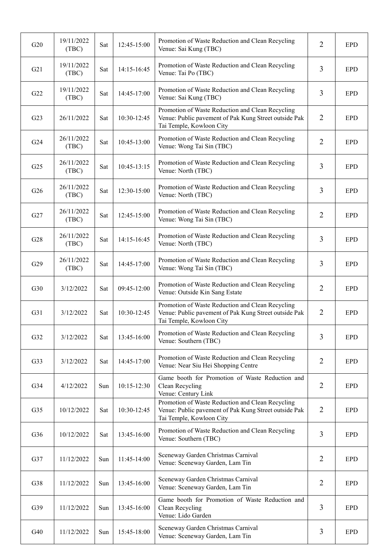| G20             | 19/11/2022<br>(TBC) | Sat | 12:45-15:00 | Promotion of Waste Reduction and Clean Recycling<br>Venue: Sai Kung (TBC)                                                             | $\overline{2}$ | <b>EPD</b> |
|-----------------|---------------------|-----|-------------|---------------------------------------------------------------------------------------------------------------------------------------|----------------|------------|
| G21             | 19/11/2022<br>(TBC) | Sat | 14:15-16:45 | Promotion of Waste Reduction and Clean Recycling<br>Venue: Tai Po (TBC)                                                               | 3              | <b>EPD</b> |
| G22             | 19/11/2022<br>(TBC) | Sat | 14:45-17:00 | Promotion of Waste Reduction and Clean Recycling<br>Venue: Sai Kung (TBC)                                                             | 3              | <b>EPD</b> |
| G23             | 26/11/2022          | Sat | 10:30-12:45 | Promotion of Waste Reduction and Clean Recycling<br>Venue: Public pavement of Pak Kung Street outside Pak<br>Tai Temple, Kowloon City | $\overline{2}$ | <b>EPD</b> |
| G24             | 26/11/2022<br>(TBC) | Sat | 10:45-13:00 | Promotion of Waste Reduction and Clean Recycling<br>Venue: Wong Tai Sin (TBC)                                                         | $\overline{2}$ | <b>EPD</b> |
| G25             | 26/11/2022<br>(TBC) | Sat | 10:45-13:15 | Promotion of Waste Reduction and Clean Recycling<br>Venue: North (TBC)                                                                | 3              | <b>EPD</b> |
| G26             | 26/11/2022<br>(TBC) | Sat | 12:30-15:00 | Promotion of Waste Reduction and Clean Recycling<br>Venue: North (TBC)                                                                | $\overline{3}$ | <b>EPD</b> |
| G27             | 26/11/2022<br>(TBC) | Sat | 12:45-15:00 | Promotion of Waste Reduction and Clean Recycling<br>Venue: Wong Tai Sin (TBC)                                                         | $\overline{2}$ | <b>EPD</b> |
| G28             | 26/11/2022<br>(TBC) | Sat | 14:15-16:45 | Promotion of Waste Reduction and Clean Recycling<br>Venue: North (TBC)                                                                | $\overline{3}$ | <b>EPD</b> |
| G29             | 26/11/2022<br>(TBC) | Sat | 14:45-17:00 | Promotion of Waste Reduction and Clean Recycling<br>Venue: Wong Tai Sin (TBC)                                                         | 3              | <b>EPD</b> |
| G30             | 3/12/2022           | Sat | 09:45-12:00 | Promotion of Waste Reduction and Clean Recycling<br>Venue: Outside Kin Sang Estate                                                    | $\overline{2}$ | <b>EPD</b> |
| G31             | 3/12/2022           | Sat | 10:30-12:45 | Promotion of Waste Reduction and Clean Recycling<br>Venue: Public pavement of Pak Kung Street outside Pak<br>Tai Temple, Kowloon City | $\overline{2}$ | <b>EPD</b> |
| G32             | 3/12/2022           | Sat | 13:45-16:00 | Promotion of Waste Reduction and Clean Recycling<br>Venue: Southern (TBC)                                                             | $\overline{3}$ | <b>EPD</b> |
| G33             | 3/12/2022           | Sat | 14:45-17:00 | Promotion of Waste Reduction and Clean Recycling<br>Venue: Near Siu Hei Shopping Centre                                               | $\overline{2}$ | <b>EPD</b> |
| G34             | 4/12/2022           | Sun | 10:15-12:30 | Game booth for Promotion of Waste Reduction and<br>Clean Recycling<br>Venue: Century Link                                             | $\overline{2}$ | <b>EPD</b> |
| G <sub>35</sub> | 10/12/2022          | Sat | 10:30-12:45 | Promotion of Waste Reduction and Clean Recycling<br>Venue: Public pavement of Pak Kung Street outside Pak<br>Tai Temple, Kowloon City | 2              | <b>EPD</b> |
| G36             | 10/12/2022          | Sat | 13:45-16:00 | Promotion of Waste Reduction and Clean Recycling<br>Venue: Southern (TBC)                                                             | $\overline{3}$ | <b>EPD</b> |
| G37             | 11/12/2022          | Sun | 11:45-14:00 | Sceneway Garden Christmas Carnival<br>Venue: Sceneway Garden, Lam Tin                                                                 | 2              | <b>EPD</b> |
| G38             | 11/12/2022          | Sun | 13:45-16:00 | Sceneway Garden Christmas Carnival<br>Venue: Sceneway Garden, Lam Tin                                                                 | $\overline{2}$ | <b>EPD</b> |
| G39             | 11/12/2022          | Sun | 13:45-16:00 | Game booth for Promotion of Waste Reduction and<br>Clean Recycling<br>Venue: Lido Garden                                              | 3              | <b>EPD</b> |
| G40             | 11/12/2022          | Sun | 15:45-18:00 | Sceneway Garden Christmas Carnival<br>Venue: Sceneway Garden, Lam Tin                                                                 | 3              | <b>EPD</b> |